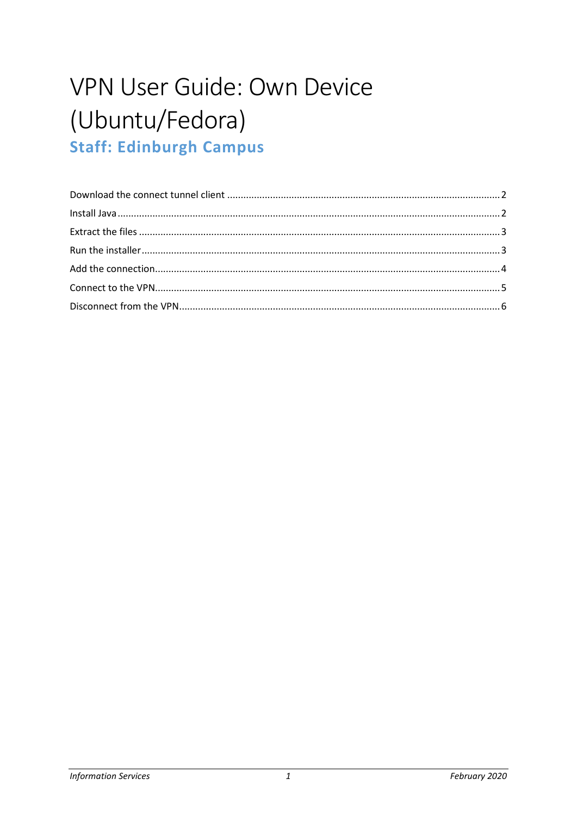# VPN User Guide: Own Device (Ubuntu/Fedora) **Staff: Edinburgh Campus**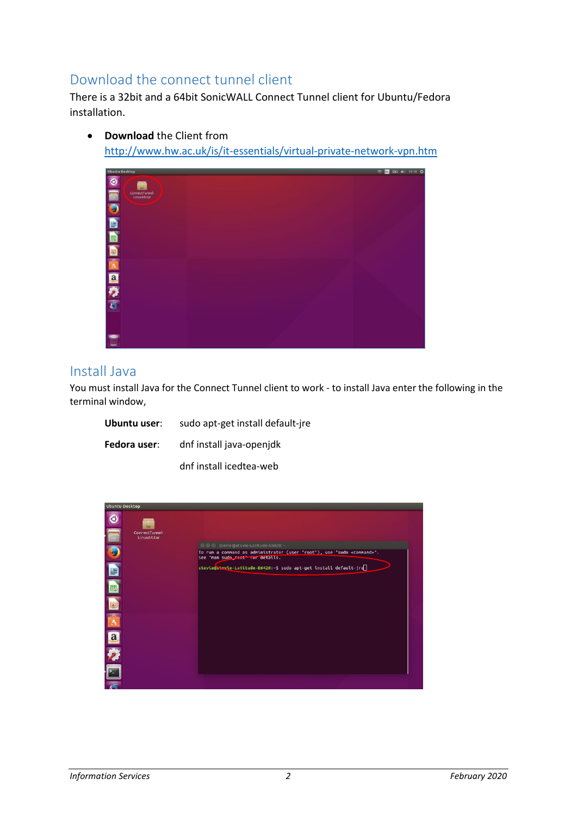## <span id="page-1-0"></span>Download the connect tunnel client

There is a 32bit and a 64bit SonicWALL Connect Tunnel client for Ubuntu/Fedora installation.

O **B** 日本日数不

#### <span id="page-1-1"></span>Install Java

You must install Java for the Connect Tunnel client to work - to install Java enter the following in the terminal window,

| Ubuntu user: | sudo apt-get install default-jre |  |  |  |
|--------------|----------------------------------|--|--|--|
| Fedora user: | dnf install java-openjdk         |  |  |  |
|              | dnf install icedtea-web          |  |  |  |



• **Download** the Client from <http://www.hw.ac.uk/is/it-essentials/virtual-private-network-vpn.htm>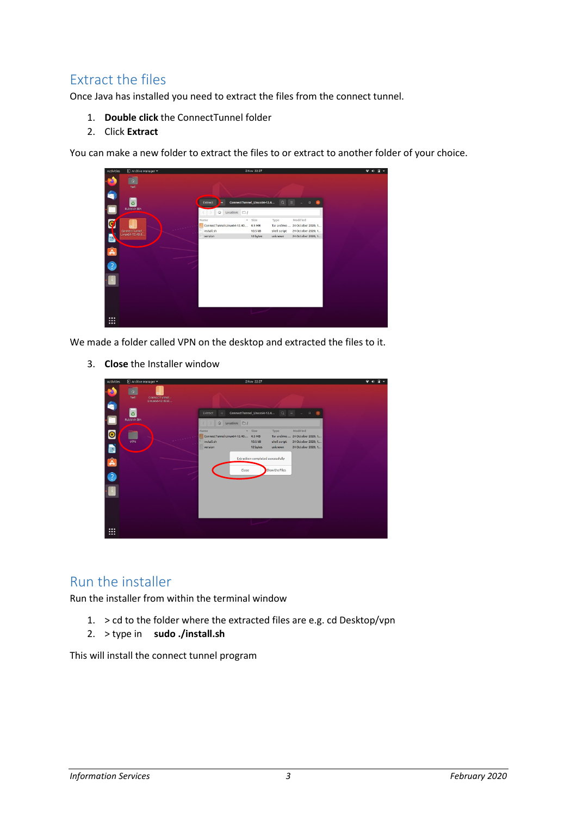# <span id="page-2-0"></span>Extract the files

Once Java has installed you need to extract the files from the connect tunnel.

- 1. **Double click** the ConnectTunnel folder
- 2. Click **Extract**

You can make a new folder to extract the files to or extract to another folder of your choice.

| Activities            | Archive Manager                     |                                                                     | 2 Nov 22:27                     |                                 |                                                                                         | $\bullet$<br>A<br>п |
|-----------------------|-------------------------------------|---------------------------------------------------------------------|---------------------------------|---------------------------------|-----------------------------------------------------------------------------------------|---------------------|
| t<br>$\bullet$        | hwll<br>ō<br>Rubbish Bin            | Extract<br>Location: $\Box$ /<br>G.                                 | ConnectTunnel_Linux64-12.4      | $Q =$                           | $\Box$                                                                                  |                     |
| $\mathbf{G}$<br>A Q U | ConnectTunnel_-<br>Linux64-12.40.0. | Name<br>ConnectTunnel-Linux64-12.40 4.5 MB<br>install.sh<br>version | $v$ Size<br>10.5 kB<br>12 bytes | Type<br>shell script<br>unknown | Modified<br>Tar archive  24 October 2020, 1<br>24 October 2020, 1<br>24 October 2020, 1 |                     |
| m                     |                                     |                                                                     |                                 |                                 |                                                                                         |                     |

We made a folder called VPN on the desktop and extracted the files to it.

3. **Close** the Installer window

| Activities                                   | D Archive Manager                                                          | 2 Nov 22:27                                                                                                                                                                                                                                                                                               |  |
|----------------------------------------------|----------------------------------------------------------------------------|-----------------------------------------------------------------------------------------------------------------------------------------------------------------------------------------------------------------------------------------------------------------------------------------------------------|--|
| $\bullet$<br>$\bullet$<br>C                  | $\Omega$<br>hudl<br>ConnectTunnel -<br>Linux64-12.40.0<br>ō<br>Rubbish Bin | ConnectTunnel Linux64-12.4<br>$\alpha =$<br>Extract<br>$\Box$<br>٠<br>Location: $\Box$ /<br>$\omega$                                                                                                                                                                                                      |  |
| $\bullet$<br><b>B</b><br>A<br>$\bullet$<br>P | VPN                                                                        | Modified<br>» Size<br>Name<br>Type<br>ConnectTunnel-Linux64-12.40 4.5 MB<br>Tar archive  24 October 2020, 1<br><i>install.sh</i><br>shell script<br>24 October 2020, 1<br>10.5 kB<br>unknown<br>12 bytes<br>24 October 2020, 1<br>version<br>Extraction completed successfully<br>Show the Files<br>Close |  |
| $\cdots$<br>₩                                |                                                                            |                                                                                                                                                                                                                                                                                                           |  |

#### <span id="page-2-1"></span>Run the installer

Run the installer from within the terminal window

- 1.  $>$  cd to the folder where the extracted files are e.g. cd Desktop/vpn
- 2. > type in **sudo ./install.sh**

This will install the connect tunnel program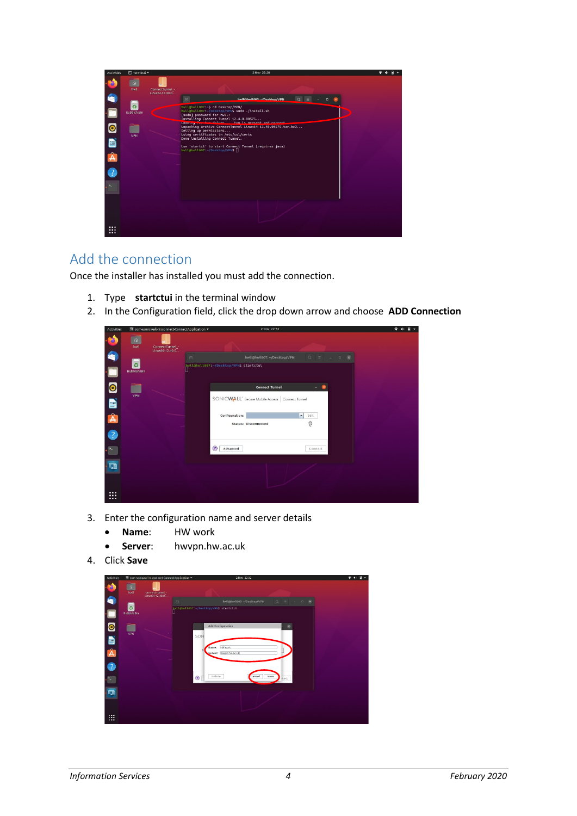

### <span id="page-3-0"></span>Add the connection

Once the installer has installed you must add the connection.

- 1. Type **startctui** in the terminal window
- 2. In the Configuration field, click the drop down arrow and choose **ADD Connection**

| <b>Activities</b>              |                                  | ** com-sonicwall-nixconnect-ConnectApplication * |            |                                        | 2 Nov 22:31                                                                         |                                                                                      |  |  |
|--------------------------------|----------------------------------|--------------------------------------------------|------------|----------------------------------------|-------------------------------------------------------------------------------------|--------------------------------------------------------------------------------------|--|--|
| ъ<br>G                         | $\hat{\mathbf{u}}$<br>hwill<br>ō | ConnectTunnel_-<br>Linux64-12.40.0               | $\sqrt{n}$ | hwll@hwll007:~/Desktop/VPN\$ startctui | hwll@hwll007: ~/Desktop/VPN                                                         | $\begin{array}{ccccccccccccccccc} \Box & \equiv & - & - & \Box & \times \end{array}$ |  |  |
| $\bullet$                      | Rubbish Bin<br>VPN               |                                                  |            |                                        | <b>Connect Tunnel</b><br>SONICWALL <sup>'</sup> Secure Mobile Access Connect Tunnel |                                                                                      |  |  |
| D<br>Â<br>$\bullet$            |                                  |                                                  |            | Configuration:                         | Status: Disconnected                                                                | ×<br>Edit<br>ę                                                                       |  |  |
|                                |                                  |                                                  |            | $\left( 7\right)$<br>Advanced          |                                                                                     | Connect                                                                              |  |  |
| <b>ISB</b><br><br><br>$\cdots$ |                                  |                                                  |            |                                        |                                                                                     |                                                                                      |  |  |

- 3. Enter the configuration name and server details
	- **Name**: HW work
	- **Server**: hwvpn.hw.ac.uk
- 4. Click **Save**

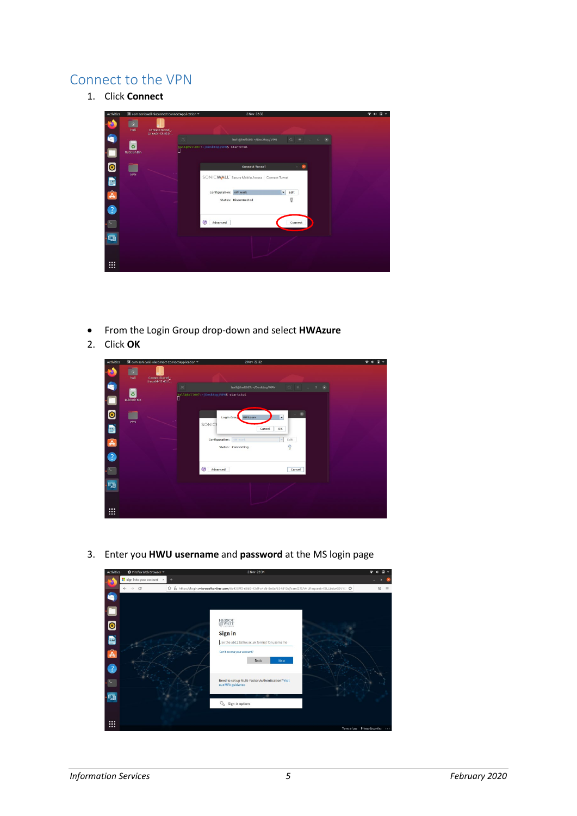#### <span id="page-4-0"></span>Connect to the VPN

1. Click **Connect**



- From the Login Group drop-down and select **HWAzure**
- 2. Click **OK**



3. Enter you **HWU username** and **password** at the MS login page